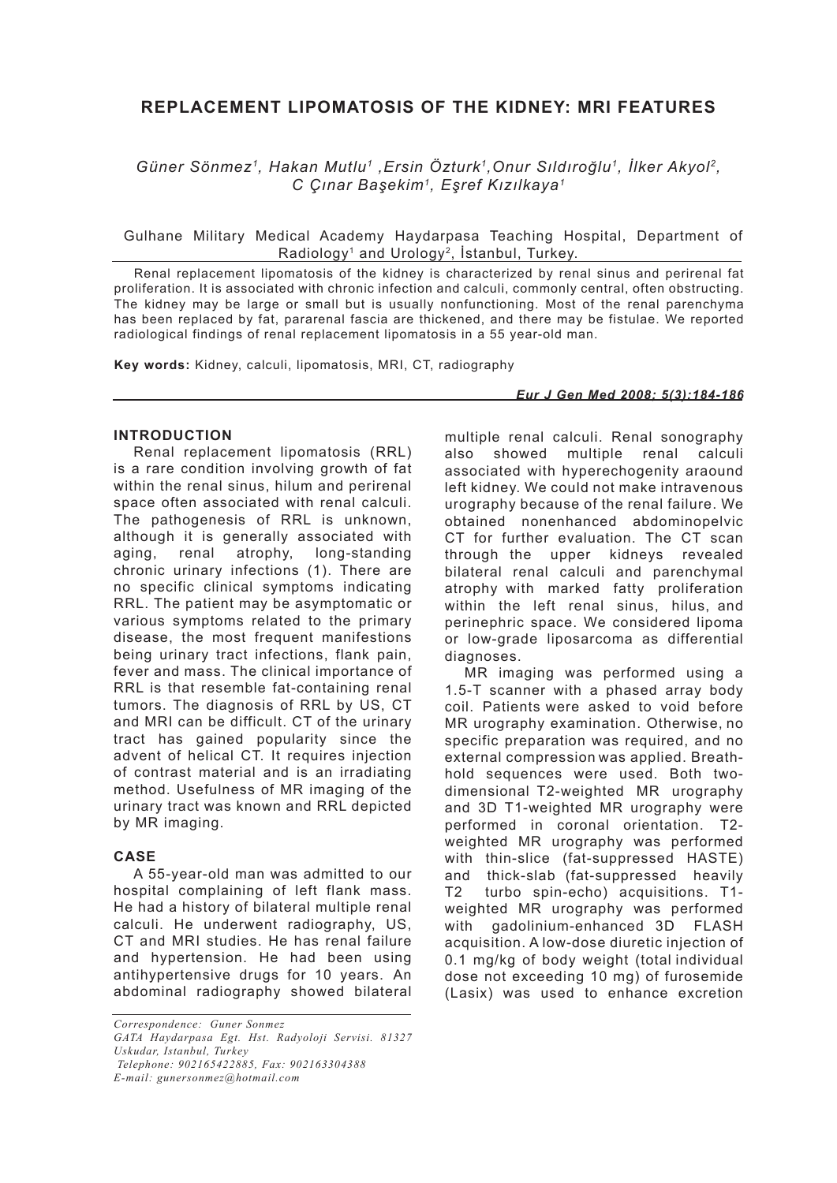# **REPLACEMENT LIPOMATOSIS OF THE KIDNEY: MRI FEATURES**

*Güner Sönmez1, Hakan Mutlu1 ,Ersin Özturk1,Onur Sıldıroğlu1, İlker Akyol2, C Çınar Başekim1, Eşref Kızılkaya1*

 Gulhane Military Medical Academy Haydarpasa Teaching Hospital, Department of Radiology<sup>1</sup> and Urology<sup>2</sup>, İstanbul, Turkey.

Renal replacement lipomatosis of the kidney is characterized by renal sinus and perirenal fat proliferation. It is associated with chronic infection and calculi, commonly central, often obstructing. The kidney may be large or small but is usually nonfunctioning. Most of the renal parenchyma has been replaced by fat, pararenal fascia are thickened, and there may be fistulae. We reported radiological findings of renal replacement lipomatosis in a 55 year-old man.

**Key words:** Kidney, calculi, lipomatosis, MRI, CT, radiography

#### *Eur J Gen Med 2008; 5(3):184-186*

# **INTRODUCTION**

Renal replacement lipomatosis (RRL) is a rare condition involving growth of fat within the renal sinus, hilum and perirenal space often associated with renal calculi. The pathogenesis of RRL is unknown, although it is generally associated with aging, renal atrophy, long-standing chronic urinary infections (1). There are no specific clinical symptoms indicating RRL. The patient may be asymptomatic or various symptoms related to the primary disease, the most frequent manifestions being urinary tract infections, flank pain, fever and mass. The clinical importance of RRL is that resemble fat-containing renal tumors. The diagnosis of RRL by US, CT and MRI can be difficult. CT of the urinary tract has gained popularity since the advent of helical CT. It requires injection of contrast material and is an irradiating method. Usefulness of MR imaging of the urinary tract was known and RRL depicted by MR imaging.

# **CASE**

A 55-year-old man was admitted to our hospital complaining of left flank mass. He had a history of bilateral multiple renal calculi. He underwent radiography, US, CT and MRI studies. He has renal failure and hypertension. He had been using antihypertensive drugs for 10 years. An abdominal radiography showed bilateral multiple renal calculi. Renal sonography also showed multiple renal calculi associated with hyperechogenity araound left kidney. We could not make intravenous urography because of the renal failure. We obtained nonenhanced abdominopelvic CT for further evaluation. The CT scan through the upper kidneys revealed bilateral renal calculi and parenchymal atrophy with marked fatty proliferation within the left renal sinus, hilus, and perinephric space. We considered lipoma or low-grade liposarcoma as differential diagnoses.

MR imaging was performed using a 1.5-T scanner with a phased array body coil. Patients were asked to void before MR urography examination. Otherwise, no specific preparation was required, and no external compression was applied. Breathhold sequences were used. Both twodimensional T2-weighted MR urography and 3D T1-weighted MR urography were performed in coronal orientation. T2 weighted MR urography was performed with thin-slice (fat-suppressed HASTE) and thick-slab (fat-suppressed heavily T2 turbo spin-echo) acquisitions. T1 weighted MR urography was performed with gadolinium-enhanced 3D FLASH acquisition. A low-dose diuretic injection of 0.1 mg/kg of body weight (total individual dose not exceeding 10 mg) of furosemide (Lasix) was used to enhance excretion

*Correspondence: Guner Sonmez GATA Haydarpasa Egt. Hst. Radyoloji Servisi. 81327 Uskudar, Istanbul, Turkey Telephone: 902165422885, Fax: 902163304388*

*E-mail: gunersonmez@hotmail.com*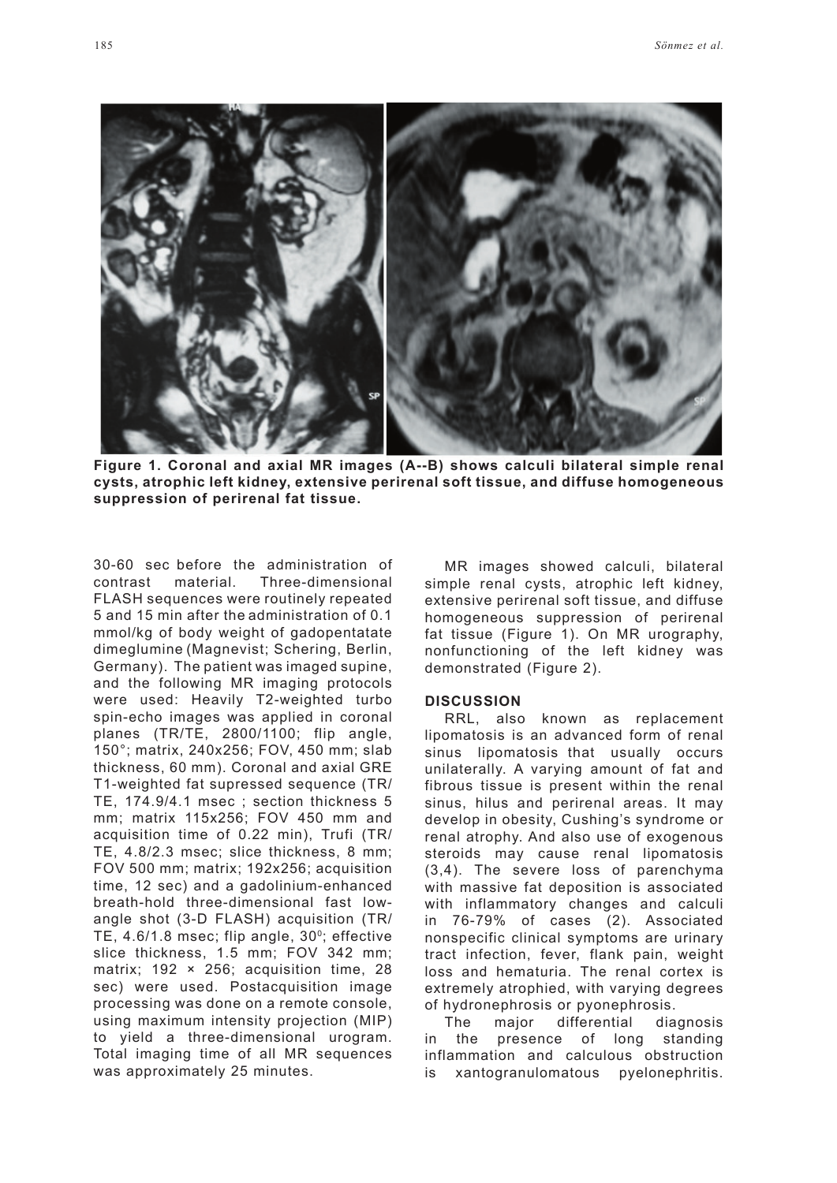

**Figure 1. Coronal and axial MR images (A--B) shows calculi bilateral simple renal cysts, atrophic left kidney, extensive perirenal soft tissue, and diffuse homogeneous suppression of perirenal fat tissue.**

30-60 sec before the administration of contrast material. Three-dimensional FLASH sequences were routinely repeated 5 and 15 min after the administration of 0.1 mmol/kg of body weight of gadopentatate dimeglumine (Magnevist; Schering, Berlin, Germany). The patient was imaged supine, and the following MR imaging protocols were used: Heavily T2-weighted turbo spin-echo images was applied in coronal planes (TR/TE, 2800/1100; flip angle, 150°; matrix, 240x256; FOV, 450 mm; slab thickness, 60 mm). Coronal and axial GRE T1-weighted fat supressed sequence (TR/ TE, 174.9/4.1 msec ; section thickness 5 mm; matrix 115x256; FOV 450 mm and acquisition time of 0.22 min), Trufi (TR/ TE, 4.8/2.3 msec; slice thickness, 8 mm; FOV 500 mm; matrix; 192x256; acquisition time, 12 sec) and a gadolinium-enhanced breath-hold three-dimensional fast lowangle shot (3-D FLASH) acquisition (TR/ TE,  $4.6/1.8$  msec; flip angle,  $30^\circ$ ; effective slice thickness, 1.5 mm; FOV 342 mm; matrix; 192 × 256; acquisition time, 28 sec) were used. Postacquisition image processing was done on a remote console, using maximum intensity projection (MIP) to yield a three-dimensional urogram. Total imaging time of all MR sequences was approximately 25 minutes.

MR images showed calculi, bilateral simple renal cysts, atrophic left kidney, extensive perirenal soft tissue, and diffuse homogeneous suppression of perirenal fat tissue (Figure 1). On MR urography, nonfunctioning of the left kidney was demonstrated (Figure 2).

# **DISCUSSION**

RRL, also known as replacement lipomatosis is an advanced form of renal sinus lipomatosis that usually occurs unilaterally. A varying amount of fat and fibrous tissue is present within the renal sinus, hilus and perirenal areas. It may develop in obesity, Cushing's syndrome or renal atrophy. And also use of exogenous steroids may cause renal lipomatosis (3,4). The severe loss of parenchyma with massive fat deposition is associated with inflammatory changes and calculi in 76-79% of cases (2). Associated nonspecific clinical symptoms are urinary tract infection, fever, flank pain, weight loss and hematuria. The renal cortex is extremely atrophied, with varying degrees of hydronephrosis or pyonephrosis.

The major differential diagnosis in the presence of long standing inflammation and calculous obstruction is xantogranulomatous pyelonephritis.